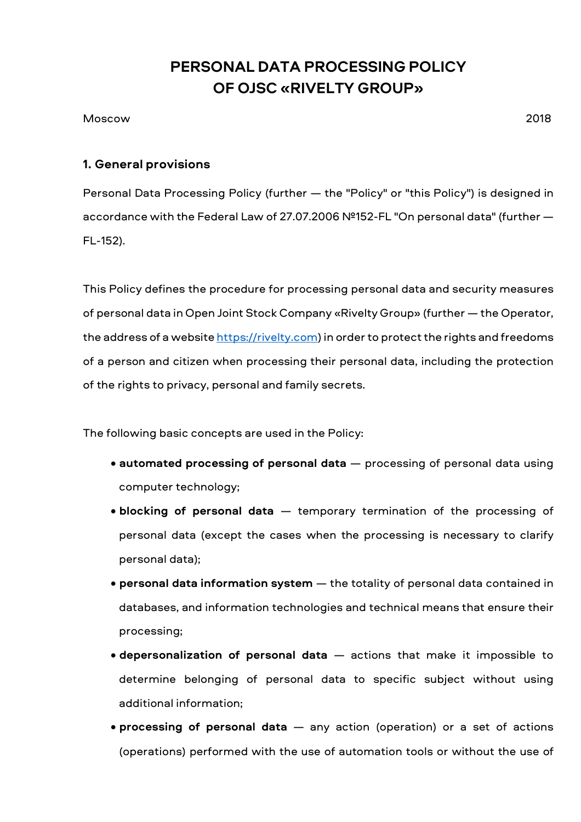# **PERSONAL DATA PROCESSING POLICY OF OJSC «RIVELTY GROUP»**

#### Moscow 2018

#### **1. General provisions**

Personal Data Processing Policy (further — the "Policy" or "this Policy") is designed in accordance with the Federal Law of 27.07.2006 №152-FL "On personal data" (further — FL-152).

This Policy defines the procedure for processing personal data and security measures of personal data in Open Joint Stock Company «Rivelty Group» (further — the Operator, the address of a website https://rivelty.com) in order to protect the rights and freedoms of a person and citizen when processing their personal data, including the protection of the rights to privacy, personal and family secrets.

The following basic concepts are used in the Policy:

- **automated processing of personal data** processing of personal data using computer technology;
- **blocking of personal data** temporary termination of the processing of personal data (except the cases when the processing is necessary to clarify personal data);
- **personal data information system** the totality of personal data contained in databases, and information technologies and technical means that ensure their processing;
- **depersonalization of personal data** actions that make it impossible to determine belonging of personal data to specific subject without using additional information;
- **processing of personal data** any action (operation) or a set of actions (operations) performed with the use of automation tools or without the use of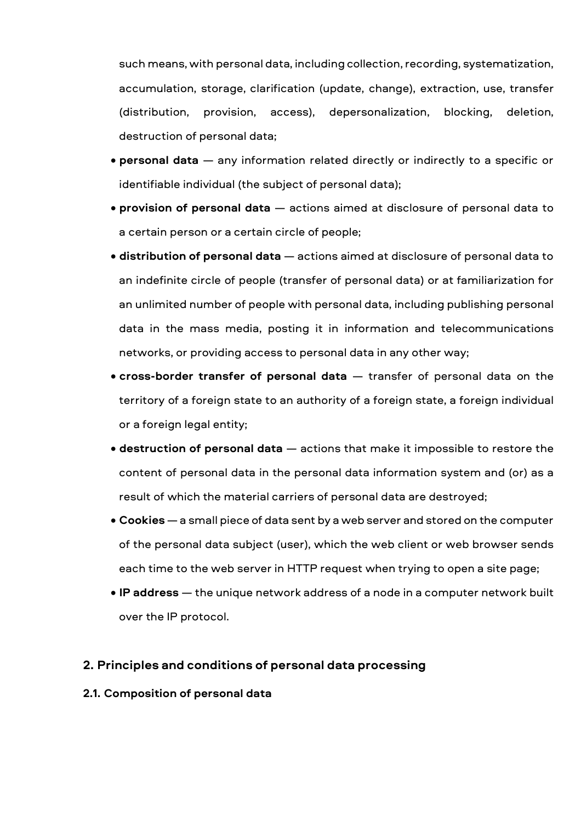such means, with personal data, including collection, recording, systematization, accumulation, storage, clarification (update, change), extraction, use, transfer (distribution, provision, access), depersonalization, blocking, deletion, destruction of personal data;

- **personal data** any information related directly or indirectly to a specific or identifiable individual (the subject of personal data);
- **provision of personal data** actions aimed at disclosure of personal data to a certain person or a certain circle of people;
- **distribution of personal data** actions aimed at disclosure of personal data to an indefinite circle of people (transfer of personal data) or at familiarization for an unlimited number of people with personal data, including publishing personal data in the mass media, posting it in information and telecommunications networks, or providing access to personal data in any other way;
- **cross-border transfer of personal data** transfer of personal data on the territory of a foreign state to an authority of a foreign state, a foreign individual or a foreign legal entity;
- **destruction of personal data** actions that make it impossible to restore the content of personal data in the personal data information system and (or) as a result of which the material carriers of personal data are destroyed;
- **Cookies** a small piece of data sent by a web server and stored on the computer of the personal data subject (user), which the web client or web browser sends each time to the web server in HTTP request when trying to open a site page;
- **IP address** the unique network address of a node in a computer network built over the IP protocol.

#### **2. Principles and conditions of personal data processing**

#### **2.1. Composition of personal data**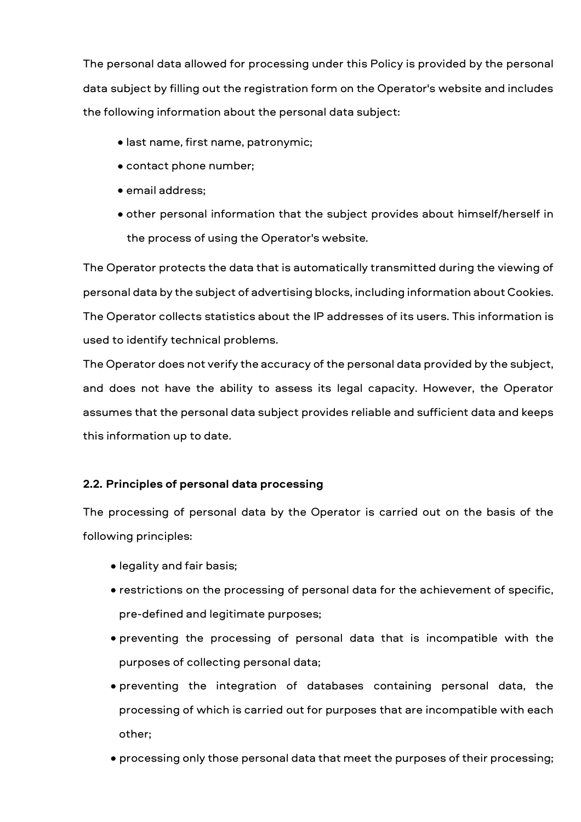The personal data allowed for processing under this Policy is provided by the personal data subject by filling out the registration form on the Operator's website and includes the following information about the personal data subject:

- last name, first name, patronymic;
- contact phone number;
- email address;
- other personal information that the subject provides about himself/herself in the process of using the Operator's website.

The Operator protects the data that is automatically transmitted during the viewing of personal data by the subject of advertising blocks, including information about Cookies. The Operator collects statistics about the IP addresses of its users. This information is used to identify technical problems.

The Operator does not verify the accuracy of the personal data provided by the subject, and does not have the ability to assess its legal capacity. However, the Operator assumes that the personal data subject provides reliable and sufficient data and keeps this information up to date.

#### **2.2. Principles of personal data processing**

The processing of personal data by the Operator is carried out on the basis of the following principles:

- legality and fair basis;
- restrictions on the processing of personal data for the achievement of specific, pre-defined and legitimate purposes;
- preventing the processing of personal data that is incompatible with the purposes of collecting personal data;
- preventing the integration of databases containing personal data, the processing of which is carried out for purposes that are incompatible with each other;
- processing only those personal data that meet the purposes of their processing;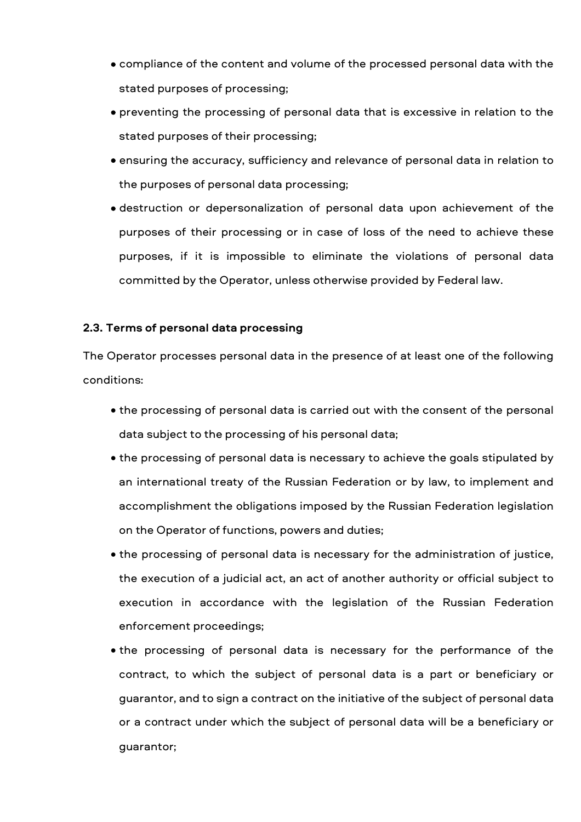- compliance of the content and volume of the processed personal data with the stated purposes of processing;
- preventing the processing of personal data that is excessive in relation to the stated purposes of their processing;
- ensuring the accuracy, sufficiency and relevance of personal data in relation to the purposes of personal data processing;
- destruction or depersonalization of personal data upon achievement of the purposes of their processing or in case of loss of the need to achieve these purposes, if it is impossible to eliminate the violations of personal data committed by the Operator, unless otherwise provided by Federal law.

#### **2.3. Terms of personal data processing**

The Operator processes personal data in the presence of at least one of the following conditions:

- the processing of personal data is carried out with the consent of the personal data subject to the processing of his personal data;
- the processing of personal data is necessary to achieve the goals stipulated by an international treaty of the Russian Federation or by law, to implement and accomplishment the obligations imposed by the Russian Federation legislation on the Operator of functions, powers and duties;
- the processing of personal data is necessary for the administration of justice, the execution of a judicial act, an act of another authority or official subject to execution in accordance with the legislation of the Russian Federation enforcement proceedings;
- the processing of personal data is necessary for the performance of the contract, to which the subject of personal data is a part or beneficiary or guarantor, and to sign a contract on the initiative of the subject of personal data or a contract under which the subject of personal data will be a beneficiary or guarantor;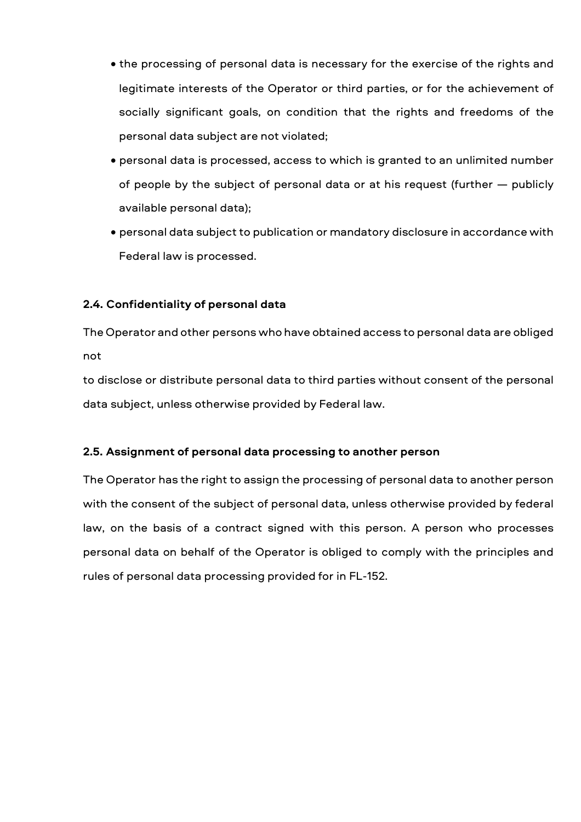- the processing of personal data is necessary for the exercise of the rights and legitimate interests of the Operator or third parties, or for the achievement of socially significant goals, on condition that the rights and freedoms of the personal data subject are not violated;
- personal data is processed, access to which is granted to an unlimited number of people by the subject of personal data or at his request (further — publicly available personal data);
- personal data subject to publication or mandatory disclosure in accordance with Federal law is processed.

## **2.4. Confidentiality of personal data**

The Operator and other persons who have obtained access to personal data are obliged not

to disclose or distribute personal data to third parties without consent of the personal data subject, unless otherwise provided by Federal law.

#### **2.5. Assignment of personal data processing to another person**

The Operator has the right to assign the processing of personal data to another person with the consent of the subject of personal data, unless otherwise provided by federal law, on the basis of a contract signed with this person. A person who processes personal data on behalf of the Operator is obliged to comply with the principles and rules of personal data processing provided for in FL-152.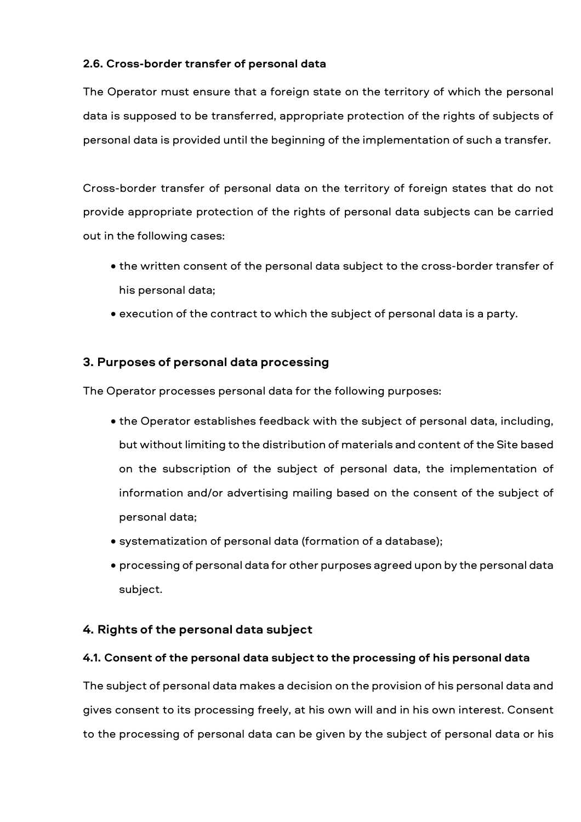## **2.6. Cross-border transfer of personal data**

The Operator must ensure that a foreign state on the territory of which the personal data is supposed to be transferred, appropriate protection of the rights of subjects of personal data is provided until the beginning of the implementation of such a transfer.

Cross-border transfer of personal data on the territory of foreign states that do not provide appropriate protection of the rights of personal data subjects can be carried out in the following cases:

- the written consent of the personal data subject to the cross-border transfer of his personal data;
- execution of the contract to which the subject of personal data is a party.

# **3. Purposes of personal data processing**

The Operator processes personal data for the following purposes:

- the Operator establishes feedback with the subject of personal data, including, but without limiting to the distribution of materials and content of the Site based on the subscription of the subject of personal data, the implementation of information and/or advertising mailing based on the consent of the subject of personal data;
- systematization of personal data (formation of a database);
- processing of personal data for other purposes agreed upon by the personal data subject.

#### **4. Rights of the personal data subject**

#### **4.1. Consent of the personal data subject to the processing of his personal data**

The subject of personal data makes a decision on the provision of his personal data and gives consent to its processing freely, at his own will and in his own interest. Consent to the processing of personal data can be given by the subject of personal data or his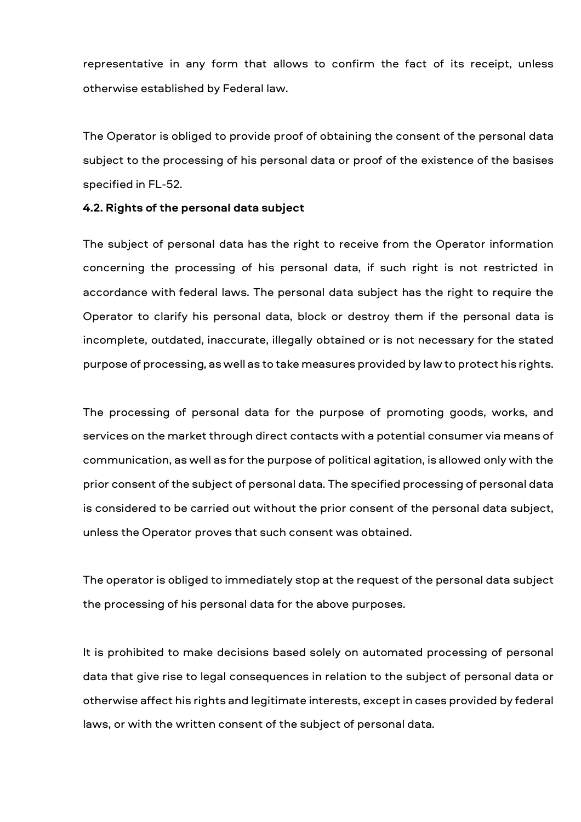representative in any form that allows to confirm the fact of its receipt, unless otherwise established by Federal law.

The Operator is obliged to provide proof of obtaining the consent of the personal data subject to the processing of his personal data or proof of the existence of the basises specified in FL-52.

#### **4.2. Rights of the personal data subject**

The subject of personal data has the right to receive from the Operator information concerning the processing of his personal data, if such right is not restricted in accordance with federal laws. The personal data subject has the right to require the Operator to clarify his personal data, block or destroy them if the personal data is incomplete, outdated, inaccurate, illegally obtained or is not necessary for the stated purpose of processing, as well as to take measures provided by law to protect his rights.

The processing of personal data for the purpose of promoting goods, works, and services on the market through direct contacts with a potential consumer via means of communication, as well as for the purpose of political agitation, is allowed only with the prior consent of the subject of personal data. The specified processing of personal data is considered to be carried out without the prior consent of the personal data subject, unless the Operator proves that such consent was obtained.

The operator is obliged to immediately stop at the request of the personal data subject the processing of his personal data for the above purposes.

It is prohibited to make decisions based solely on automated processing of personal data that give rise to legal consequences in relation to the subject of personal data or otherwise affect his rights and legitimate interests, except in cases provided by federal laws, or with the written consent of the subject of personal data.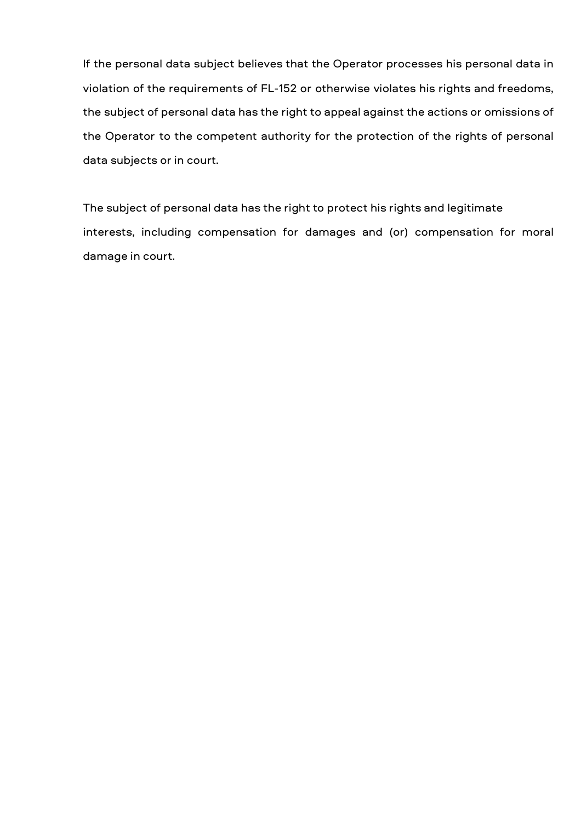If the personal data subject believes that the Operator processes his personal data in violation of the requirements of FL-152 or otherwise violates his rights and freedoms, the subject of personal data has the right to appeal against the actions or omissions of the Operator to the competent authority for the protection of the rights of personal data subjects or in court.

The subject of personal data has the right to protect his rights and legitimate interests, including compensation for damages and (or) compensation for moral damage in court.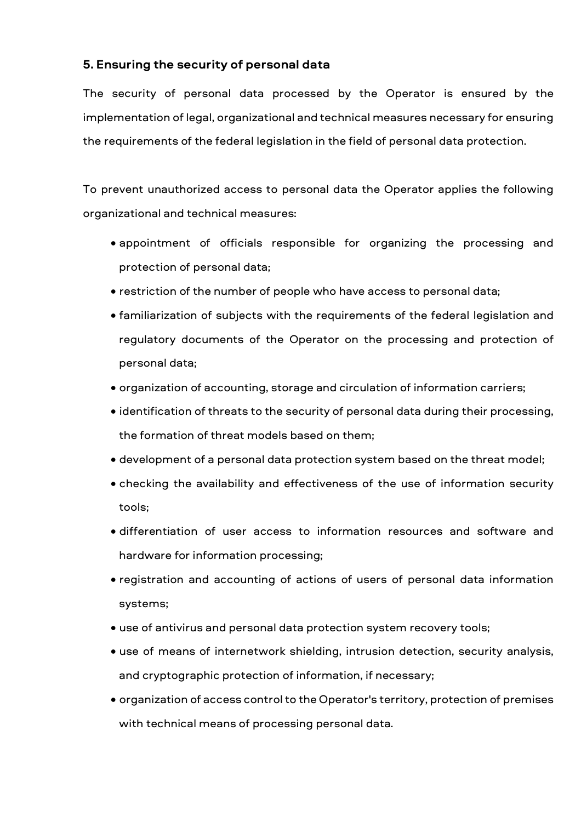# **5. Ensuring the security of personal data**

The security of personal data processed by the Operator is ensured by the implementation of legal, organizational and technical measures necessary for ensuring the requirements of the federal legislation in the field of personal data protection.

To prevent unauthorized access to personal data the Operator applies the following organizational and technical measures:

- appointment of officials responsible for organizing the processing and protection of personal data;
- restriction of the number of people who have access to personal data;
- familiarization of subjects with the requirements of the federal legislation and regulatory documents of the Operator on the processing and protection of personal data;
- organization of accounting, storage and circulation of information carriers;
- identification of threats to the security of personal data during their processing, the formation of threat models based on them;
- development of a personal data protection system based on the threat model;
- checking the availability and effectiveness of the use of information security tools;
- differentiation of user access to information resources and software and hardware for information processing;
- registration and accounting of actions of users of personal data information systems;
- use of antivirus and personal data protection system recovery tools;
- use of means of internetwork shielding, intrusion detection, security analysis, and cryptographic protection of information, if necessary;
- organization of access control to the Operator's territory, protection of premises with technical means of processing personal data.